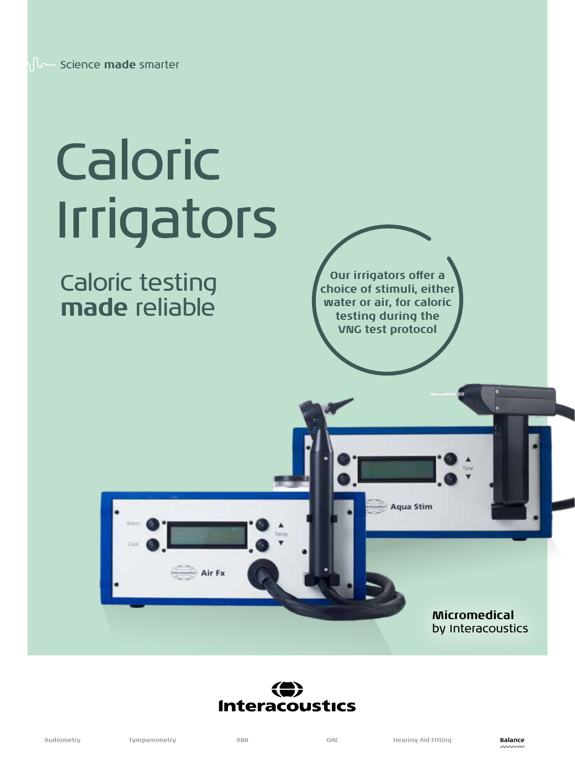# Caloric Irrigators

## Caloric testing **made** reliable

**Our irrigators offer a choice of stimuli, either water or air, for caloric testing during the VNG test protocol**

### **Micromedical** by Interacoustics



Air Fx

**Aqua Stim**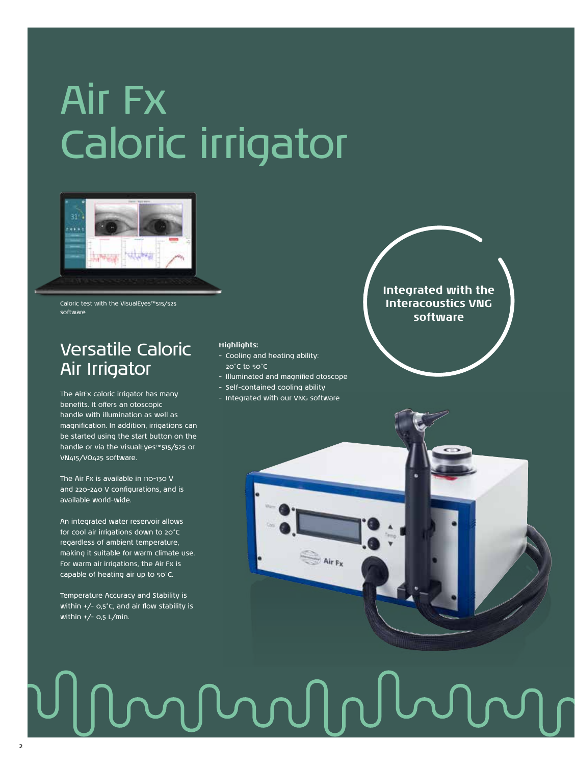# Air Fx Caloric irrigator



Caloric test with the VisualEyes™515/525 software

### Versatile Caloric Air Irrigator

The AirFx caloric irrigator has many benefits. It offers an otoscopic handle with illumination as well as magnification. In addition, irrigations can be started using the start button on the handle or via the VisualEyes™515/525 or VN415/VO425 software.

The Air Fx is available in 110-130 V and 220-240 V configurations, and is available world-wide.

An integrated water reservoir allows for cool air irrigations down to 20°C regardless of ambient temperature, making it suitable for warm climate use. For warm air irrigations, the Air Fx is capable of heating air up to 50°C.

Temperature Accuracy and Stability is within +/- 0,5°C, and air flow stability is within  $+/-$  0,5 L/min.

 $\overline{2}$ 

#### **Highlights:**

- Cooling and heating ability: 20°C to 50°C
- Illuminated and magnified otoscope
- Self-contained cooling ability
- Integrated with our VNG software

**Integrated with the Interacoustics VNG software**



# mMnn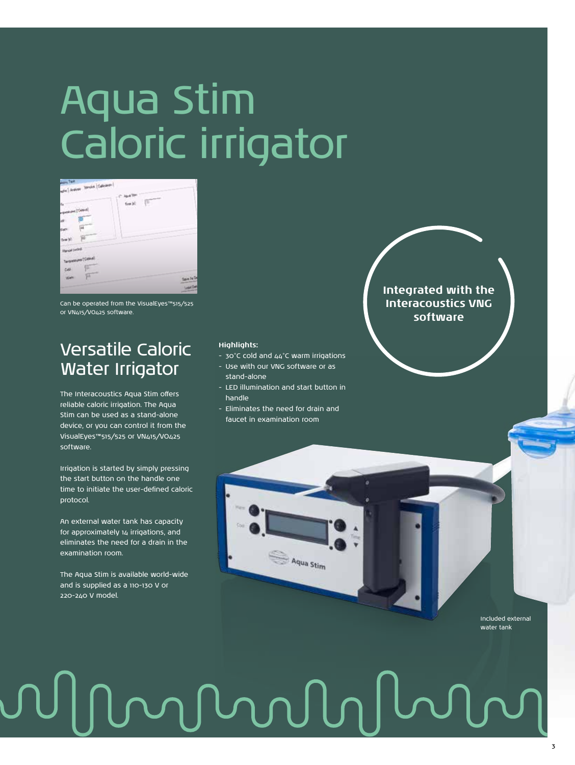# Aqua Stim Caloric irrigator

| <b>Allenta</b> , Tasak<br><b>Adie   Andres Senate   Calculate  </b>                        | Age Set            |
|--------------------------------------------------------------------------------------------|--------------------|
| N.<br><b>Callenge</b><br>俪<br>F<br>$\frac{1}{2}$ and                                       | Г<br>fan bl<br>nes |
| <b>Marquel control</b><br>Terpentums ("Celsua)<br>$\bullet$<br>$Qdd$ :<br>叵<br><b>Barn</b> | Says As D          |
|                                                                                            | Load De            |

Can be operated from the VisualEyes™515/525 or VN415/VO425 software.

## Versatile Caloric Water Irrigator

The Interacoustics Aqua Stim offers reliable caloric irrigation. The Aqua Stim can be used as a stand-alone device, or you can control it from the VisualEyes™515/525 or VN415/VO425 software.

Irrigation is started by simply pressing the start button on the handle one time to initiate the user-defined caloric protocol.

An external water tank has capacity for approximately 14 irrigations, and eliminates the need for a drain in the examination room.

The Aqua Stim is available world-wide and is supplied as a 110-130 V or 220-240 V model.

#### **Highlights:**

- 30°C cold and 44°C warm irrigations
- Use with our VNG software or as stand-alone
- LED illumination and start button in handle
- Eliminates the need for drain and faucet in examination room

Aqua Stim

### **Integrated with the Interacoustics VNG software**

Included external water tank

#